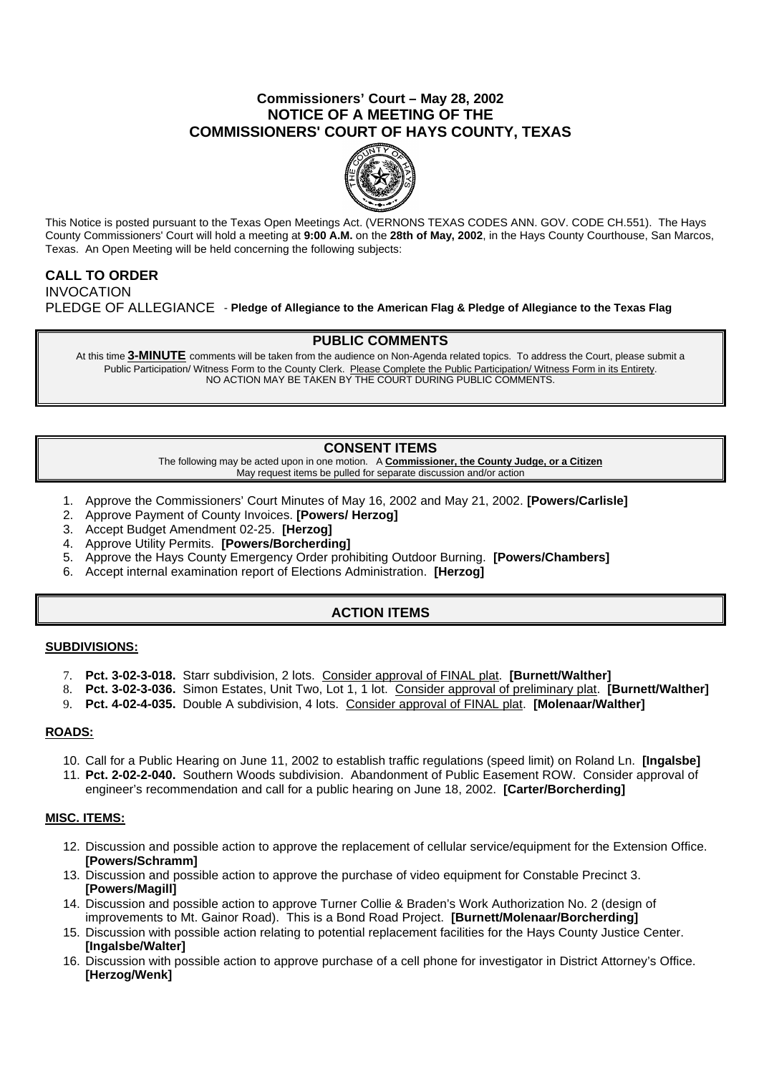## **Commissioners' Court – May 28, 2002 NOTICE OF A MEETING OF THE COMMISSIONERS' COURT OF HAYS COUNTY, TEXAS**



This Notice is posted pursuant to the Texas Open Meetings Act. (VERNONS TEXAS CODES ANN. GOV. CODE CH.551). The Hays County Commissioners' Court will hold a meeting at **9:00 A.M.** on the **28th of May, 2002**, in the Hays County Courthouse, San Marcos, Texas. An Open Meeting will be held concerning the following subjects:

# **CALL TO ORDER**

INVOCATION PLEDGE OF ALLEGIANCE - **Pledge of Allegiance to the American Flag & Pledge of Allegiance to the Texas Flag**

### **PUBLIC COMMENTS**

At this time **3-MINUTE** comments will be taken from the audience on Non-Agenda related topics. To address the Court, please submit a Public Participation/ Witness Form to the County Clerk. Please Complete the Public Participation/ Witness Form in its Entirety. NO ACTION MAY BE TAKEN BY THE COURT DURING PUBLIC COMMENTS.

## **CONSENT ITEMS**

The following may be acted upon in one motion. A **Commissioner, the County Judge, or a Citizen** May request items be pulled for separate discussion and/or action

- 1. Approve the Commissioners' Court Minutes of May 16, 2002 and May 21, 2002. **[Powers/Carlisle]**
- 2. Approve Payment of County Invoices. **[Powers/ Herzog]**
- 3. Accept Budget Amendment 02-25. **[Herzog]**
- 4. Approve Utility Permits. **[Powers/Borcherding]**
- 5. Approve the Hays County Emergency Order prohibiting Outdoor Burning. **[Powers/Chambers]**
- 6. Accept internal examination report of Elections Administration. **[Herzog]**

# **ACTION ITEMS**

### **SUBDIVISIONS:**

- 7. **Pct. 3-02-3-018.** Starr subdivision, 2 lots. Consider approval of FINAL plat. **[Burnett/Walther]**
- 8. **Pct. 3-02-3-036.** Simon Estates, Unit Two, Lot 1, 1 lot. Consider approval of preliminary plat. **[Burnett/Walther]**
- 9. **Pct. 4-02-4-035.** Double A subdivision, 4 lots. Consider approval of FINAL plat. **[Molenaar/Walther]**

### **ROADS:**

- 10. Call for a Public Hearing on June 11, 2002 to establish traffic regulations (speed limit) on Roland Ln. **[Ingalsbe]**
- 11. **Pct. 2-02-2-040.** Southern Woods subdivision. Abandonment of Public Easement ROW. Consider approval of engineer's recommendation and call for a public hearing on June 18, 2002. **[Carter/Borcherding]**

### **MISC. ITEMS:**

- 12. Discussion and possible action to approve the replacement of cellular service/equipment for the Extension Office. **[Powers/Schramm]**
- 13. Discussion and possible action to approve the purchase of video equipment for Constable Precinct 3. **[Powers/Magill]**
- 14. Discussion and possible action to approve Turner Collie & Braden's Work Authorization No. 2 (design of improvements to Mt. Gainor Road). This is a Bond Road Project. **[Burnett/Molenaar/Borcherding]**
- 15. Discussion with possible action relating to potential replacement facilities for the Hays County Justice Center. **[Ingalsbe/Walter]**
- 16. Discussion with possible action to approve purchase of a cell phone for investigator in District Attorney's Office. **[Herzog/Wenk]**